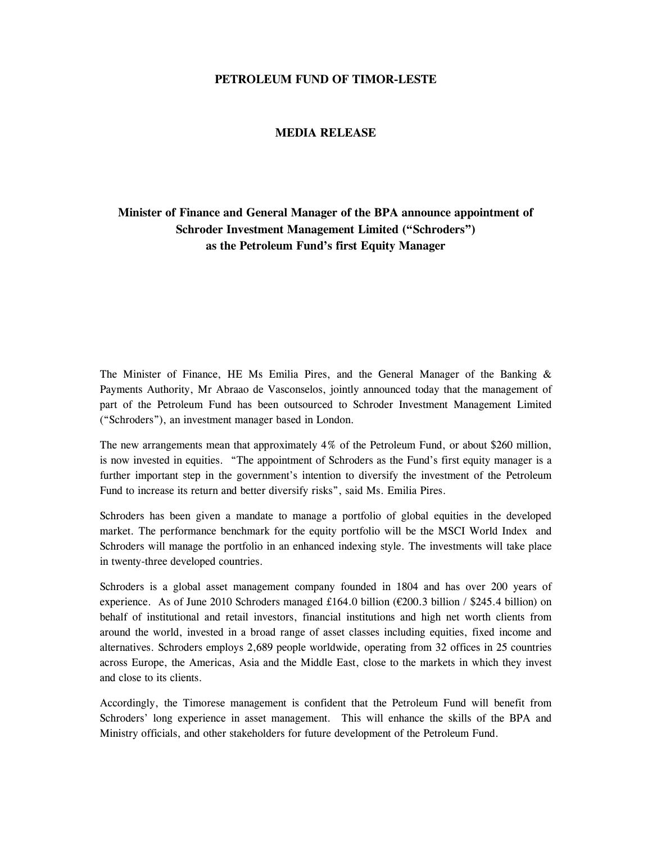# **PETROLEUM FUND OF TIMOR-LESTE**

#### **MEDIA RELEASE**

# **Minister of Finance and General Manager of the BPA announce appointment of Schroder Investment Management Limited ("Schroders") as the Petroleum Fund's first Equity Manager**

The Minister of Finance, HE Ms Emilia Pires, and the General Manager of the Banking  $\&$ Payments Authority, Mr Abraao de Vasconselos, jointly announced today that the management of part of the Petroleum Fund has been outsourced to Schroder Investment Management Limited ("Schroders"), an investment manager based in London.

The new arrangements mean that approximately 4% of the Petroleum Fund, or about \$260 million, is now invested in equities. "The appointment of Schroders as the Fund's first equity manager is a further important step in the government's intention to diversify the investment of the Petroleum Fund to increase its return and better diversify risks", said Ms. Emilia Pires.

Schroders has been given a mandate to manage a portfolio of global equities in the developed market. The performance benchmark for the equity portfolio will be the MSCI World Index and Schroders will manage the portfolio in an enhanced indexing style. The investments will take place in twenty-three developed countries.

Schroders is a global asset management company founded in 1804 and has over 200 years of experience. As of June 2010 Schroders managed £164.0 billion ( $\epsilon$ 200.3 billion / \$245.4 billion) on behalf of institutional and retail investors, financial institutions and high net worth clients from around the world, invested in a broad range of asset classes including equities, fixed income and alternatives. Schroders employs 2,689 people worldwide, operating from 32 offices in 25 countries across Europe, the Americas, Asia and the Middle East, close to the markets in which they invest and close to its clients.

Accordingly, the Timorese management is confident that the Petroleum Fund will benefit from Schroders' long experience in asset management. This will enhance the skills of the BPA and Ministry officials, and other stakeholders for future development of the Petroleum Fund.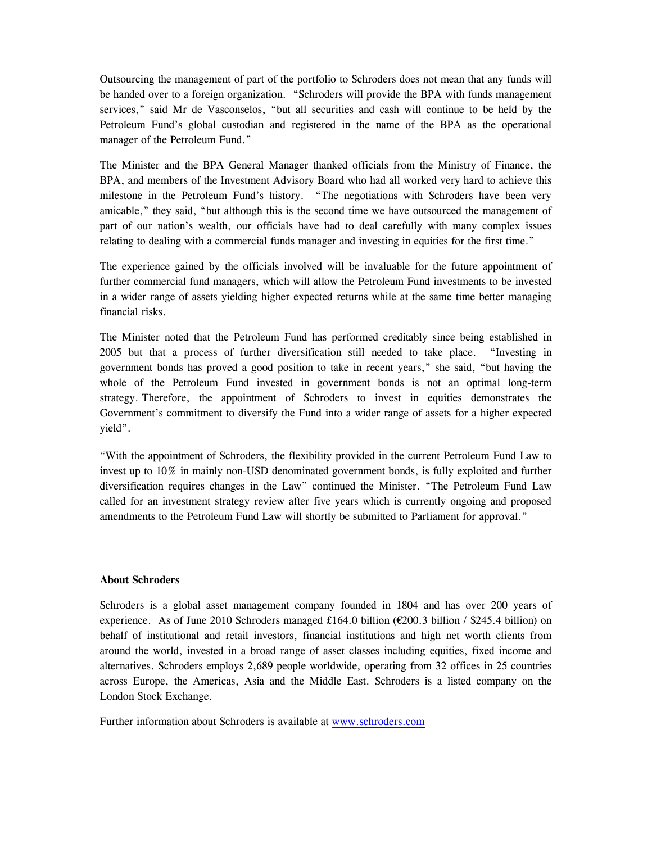Outsourcing the management of part of the portfolio to Schroders does not mean that any funds will be handed over to a foreign organization. "Schroders will provide the BPA with funds management services," said Mr de Vasconselos, "but all securities and cash will continue to be held by the Petroleum Fund's global custodian and registered in the name of the BPA as the operational manager of the Petroleum Fund."

The Minister and the BPA General Manager thanked officials from the Ministry of Finance, the BPA, and members of the Investment Advisory Board who had all worked very hard to achieve this milestone in the Petroleum Fund's history. "The negotiations with Schroders have been very amicable," they said, "but although this is the second time we have outsourced the management of part of our nation's wealth, our officials have had to deal carefully with many complex issues relating to dealing with a commercial funds manager and investing in equities for the first time."

The experience gained by the officials involved will be invaluable for the future appointment of further commercial fund managers, which will allow the Petroleum Fund investments to be invested in a wider range of assets yielding higher expected returns while at the same time better managing financial risks.

The Minister noted that the Petroleum Fund has performed creditably since being established in 2005 but that a process of further diversification still needed to take place. "Investing in government bonds has proved a good position to take in recent years," she said, "but having the whole of the Petroleum Fund invested in government bonds is not an optimal long-term strategy. Therefore, the appointment of Schroders to invest in equities demonstrates the Government's commitment to diversify the Fund into a wider range of assets for a higher expected yield".

"With the appointment of Schroders, the flexibility provided in the current Petroleum Fund Law to invest up to 10% in mainly non-USD denominated government bonds, is fully exploited and further diversification requires changes in the Law" continued the Minister. "The Petroleum Fund Law called for an investment strategy review after five years which is currently ongoing and proposed amendments to the Petroleum Fund Law will shortly be submitted to Parliament for approval."

### **About Schroders**

Schroders is a global asset management company founded in 1804 and has over 200 years of experience. As of June 2010 Schroders managed £164.0 billion ( $\epsilon$ 200.3 billion / \$245.4 billion) on behalf of institutional and retail investors, financial institutions and high net worth clients from around the world, invested in a broad range of asset classes including equities, fixed income and alternatives. Schroders employs 2,689 people worldwide, operating from 32 offices in 25 countries across Europe, the Americas, Asia and the Middle East. Schroders is a listed company on the London Stock Exchange.

Further information about Schroders is available at www.schroders.com